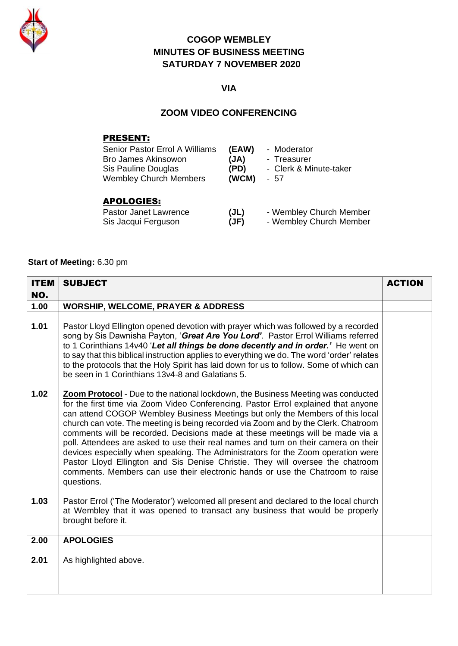

# **COGOP WEMBLEY MINUTES OF BUSINESS MEETING SATURDAY 7 NOVEMBER 2020**

# **VIA**

#### **ZOOM VIDEO CONFERENCING**

### PRESENT:

| Senior Pastor Errol A Williams              | (EAW) | - Moderator                  |
|---------------------------------------------|-------|------------------------------|
| <b>Bro James Akinsowon</b>                  | (JA)  | - Treasurer                  |
| Sis Pauline Douglas                         | (PD)  | - Clerk & Minute-taker       |
| <b>Wembley Church Members</b>               | (WCM) | - 57                         |
| <b>APOLOGIES:</b><br>Dootay Jonat Louisanoo |       | $M$ cachla $U$ Church Moreka |

| Pastor Janet Lawrence | (JL) | - Wembley Church Member |
|-----------------------|------|-------------------------|
| Sis Jacqui Ferguson   | (JF) | - Wembley Church Member |

### **Start of Meeting:** 6.30 pm

| <b>ITEM</b> | <b>SUBJECT</b>                                                                                                                                                                                                                                                                                                                                                                                                                                                                                                                                                                                                                                                                                                                                                                                     | <b>ACTION</b> |
|-------------|----------------------------------------------------------------------------------------------------------------------------------------------------------------------------------------------------------------------------------------------------------------------------------------------------------------------------------------------------------------------------------------------------------------------------------------------------------------------------------------------------------------------------------------------------------------------------------------------------------------------------------------------------------------------------------------------------------------------------------------------------------------------------------------------------|---------------|
| NO.         |                                                                                                                                                                                                                                                                                                                                                                                                                                                                                                                                                                                                                                                                                                                                                                                                    |               |
| 1.00        | <b>WORSHIP, WELCOME, PRAYER &amp; ADDRESS</b>                                                                                                                                                                                                                                                                                                                                                                                                                                                                                                                                                                                                                                                                                                                                                      |               |
| 1.01        | Pastor Lloyd Ellington opened devotion with prayer which was followed by a recorded<br>song by Sis Dawnisha Payton, 'Great Are You Lord'. Pastor Errol Williams referred<br>to 1 Corinthians 14v40 'Let all things be done decently and in order.' He went on<br>to say that this biblical instruction applies to everything we do. The word 'order' relates<br>to the protocols that the Holy Spirit has laid down for us to follow. Some of which can<br>be seen in 1 Corinthians 13y4-8 and Galatians 5.                                                                                                                                                                                                                                                                                        |               |
| 1.02        | <b>Zoom Protocol</b> - Due to the national lockdown, the Business Meeting was conducted<br>for the first time via Zoom Video Conferencing. Pastor Errol explained that anyone<br>can attend COGOP Wembley Business Meetings but only the Members of this local<br>church can vote. The meeting is being recorded via Zoom and by the Clerk. Chatroom<br>comments will be recorded. Decisions made at these meetings will be made via a<br>poll. Attendees are asked to use their real names and turn on their camera on their<br>devices especially when speaking. The Administrators for the Zoom operation were<br>Pastor Lloyd Ellington and Sis Denise Christie. They will oversee the chatroom<br>comments. Members can use their electronic hands or use the Chatroom to raise<br>questions. |               |
| 1.03        | Pastor Errol ('The Moderator') welcomed all present and declared to the local church<br>at Wembley that it was opened to transact any business that would be properly<br>brought before it.                                                                                                                                                                                                                                                                                                                                                                                                                                                                                                                                                                                                        |               |
| 2.00        | <b>APOLOGIES</b>                                                                                                                                                                                                                                                                                                                                                                                                                                                                                                                                                                                                                                                                                                                                                                                   |               |
| 2.01        | As highlighted above.                                                                                                                                                                                                                                                                                                                                                                                                                                                                                                                                                                                                                                                                                                                                                                              |               |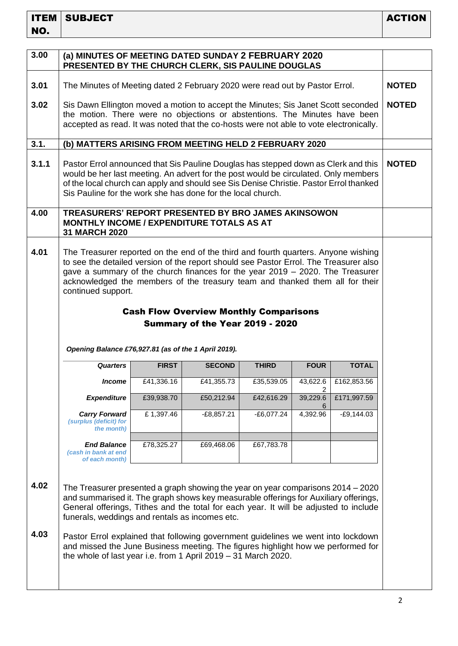| 3.00         | (a) MINUTES OF MEETING DATED SUNDAY 2 FEBRUARY 2020<br>PRESENTED BY THE CHURCH CLERK, SIS PAULINE DOUGLAS                                                                                                                                                                                                                                                                                                                                                                                                                                                      |              |               |              |               |              |              |
|--------------|----------------------------------------------------------------------------------------------------------------------------------------------------------------------------------------------------------------------------------------------------------------------------------------------------------------------------------------------------------------------------------------------------------------------------------------------------------------------------------------------------------------------------------------------------------------|--------------|---------------|--------------|---------------|--------------|--------------|
| 3.01         | The Minutes of Meeting dated 2 February 2020 were read out by Pastor Errol.                                                                                                                                                                                                                                                                                                                                                                                                                                                                                    |              |               |              | <b>NOTED</b>  |              |              |
| 3.02         | Sis Dawn Ellington moved a motion to accept the Minutes; Sis Janet Scott seconded<br>the motion. There were no objections or abstentions. The Minutes have been<br>accepted as read. It was noted that the co-hosts were not able to vote electronically.                                                                                                                                                                                                                                                                                                      |              |               |              |               |              | <b>NOTED</b> |
| 3.1.         | (b) MATTERS ARISING FROM MEETING HELD 2 FEBRUARY 2020                                                                                                                                                                                                                                                                                                                                                                                                                                                                                                          |              |               |              |               |              |              |
| 3.1.1        | Pastor Errol announced that Sis Pauline Douglas has stepped down as Clerk and this<br>would be her last meeting. An advert for the post would be circulated. Only members<br>of the local church can apply and should see Sis Denise Christie. Pastor Errol thanked<br>Sis Pauline for the work she has done for the local church.                                                                                                                                                                                                                             |              |               |              |               |              | <b>NOTED</b> |
| 4.00         | TREASURERS' REPORT PRESENTED BY BRO JAMES AKINSOWON<br><b>MONTHLY INCOME / EXPENDITURE TOTALS AS AT</b><br><b>31 MARCH 2020</b>                                                                                                                                                                                                                                                                                                                                                                                                                                |              |               |              |               |              |              |
| 4.01         | The Treasurer reported on the end of the third and fourth quarters. Anyone wishing<br>to see the detailed version of the report should see Pastor Errol. The Treasurer also<br>gave a summary of the church finances for the year $2019 - 2020$ . The Treasurer<br>acknowledged the members of the treasury team and thanked them all for their<br>continued support.<br><b>Cash Flow Overview Monthly Comparisons</b><br>Summary of the Year 2019 - 2020<br>Opening Balance £76,927.81 (as of the 1 April 2019).                                              |              |               |              |               |              |              |
|              | <b>Quarters</b>                                                                                                                                                                                                                                                                                                                                                                                                                                                                                                                                                | <b>FIRST</b> | <b>SECOND</b> | <b>THIRD</b> | <b>FOUR</b>   | <b>TOTAL</b> |              |
|              | <i><b>Income</b></i>                                                                                                                                                                                                                                                                                                                                                                                                                                                                                                                                           | £41,336.16   | £41,355.73    | £35,539.05   | 43,622.6<br>2 | £162,853.56  |              |
|              | <b>Expenditure</b>                                                                                                                                                                                                                                                                                                                                                                                                                                                                                                                                             | £39,938.70   | £50,212.94    | £42,616.29   | 39,229.6<br>6 | £171,997.59  |              |
|              | <b>Carry Forward</b><br>(surplus (deficit) for<br>the month)                                                                                                                                                                                                                                                                                                                                                                                                                                                                                                   | £1,397.46    | $-E8,857.21$  | $-E6,077.24$ | 4,392.96      | $-E9,144.03$ |              |
|              | <b>End Balance</b><br>(cash in bank at end<br>of each month)                                                                                                                                                                                                                                                                                                                                                                                                                                                                                                   | £78,325.27   | £69,468.06    | £67,783.78   |               |              |              |
| 4.02<br>4.03 | The Treasurer presented a graph showing the year on year comparisons 2014 – 2020<br>and summarised it. The graph shows key measurable offerings for Auxiliary offerings,<br>General offerings, Tithes and the total for each year. It will be adjusted to include<br>funerals, weddings and rentals as incomes etc.<br>Pastor Errol explained that following government guidelines we went into lockdown<br>and missed the June Business meeting. The figures highlight how we performed for<br>the whole of last year i.e. from 1 April 2019 - 31 March 2020. |              |               |              |               |              |              |
|              |                                                                                                                                                                                                                                                                                                                                                                                                                                                                                                                                                                |              |               |              |               |              |              |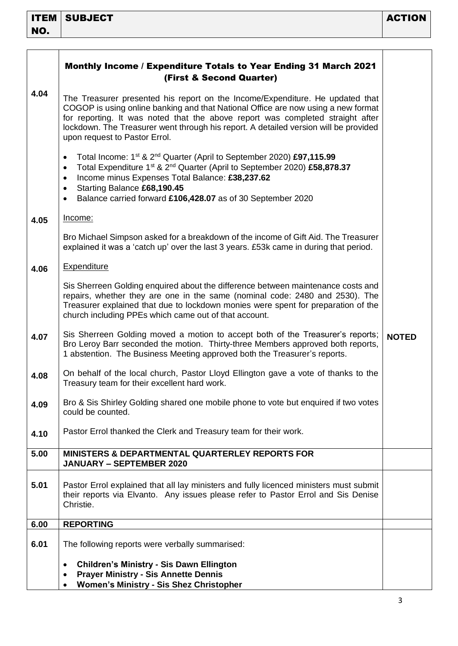|      | Monthly Income / Expenditure Totals to Year Ending 31 March 2021<br>(First & Second Quarter)                                                                                                                                                                                                                                                                                                               |              |
|------|------------------------------------------------------------------------------------------------------------------------------------------------------------------------------------------------------------------------------------------------------------------------------------------------------------------------------------------------------------------------------------------------------------|--------------|
| 4.04 | The Treasurer presented his report on the Income/Expenditure. He updated that<br>COGOP is using online banking and that National Office are now using a new format<br>for reporting. It was noted that the above report was completed straight after<br>lockdown. The Treasurer went through his report. A detailed version will be provided<br>upon request to Pastor Errol.                              |              |
|      | Total Income: 1 <sup>st</sup> & 2 <sup>nd</sup> Quarter (April to September 2020) £97,115.99<br>$\bullet$<br>Total Expenditure 1 <sup>st</sup> & 2 <sup>nd</sup> Quarter (April to September 2020) £58,878.37<br>$\bullet$<br>Income minus Expenses Total Balance: £38,237.62<br>$\bullet$<br>Starting Balance £68,190.45<br>٠<br>Balance carried forward £106,428.07 as of 30 September 2020<br>$\bullet$ |              |
| 4.05 | Income:                                                                                                                                                                                                                                                                                                                                                                                                    |              |
|      | Bro Michael Simpson asked for a breakdown of the income of Gift Aid. The Treasurer<br>explained it was a 'catch up' over the last 3 years. £53k came in during that period.                                                                                                                                                                                                                                |              |
| 4.06 | <b>Expenditure</b>                                                                                                                                                                                                                                                                                                                                                                                         |              |
|      | Sis Sherreen Golding enquired about the difference between maintenance costs and<br>repairs, whether they are one in the same (nominal code: 2480 and 2530). The<br>Treasurer explained that due to lockdown monies were spent for preparation of the<br>church including PPEs which came out of that account.                                                                                             |              |
| 4.07 | Sis Sherreen Golding moved a motion to accept both of the Treasurer's reports;<br>Bro Leroy Barr seconded the motion. Thirty-three Members approved both reports,<br>1 abstention. The Business Meeting approved both the Treasurer's reports.                                                                                                                                                             | <b>NOTED</b> |
| 4.08 | On behalf of the local church, Pastor Lloyd Ellington gave a vote of thanks to the<br>Treasury team for their excellent hard work.                                                                                                                                                                                                                                                                         |              |
| 4.09 | Bro & Sis Shirley Golding shared one mobile phone to vote but enquired if two votes<br>could be counted.                                                                                                                                                                                                                                                                                                   |              |
| 4.10 | Pastor Errol thanked the Clerk and Treasury team for their work.                                                                                                                                                                                                                                                                                                                                           |              |
| 5.00 | <b>MINISTERS &amp; DEPARTMENTAL QUARTERLEY REPORTS FOR</b><br><b>JANUARY - SEPTEMBER 2020</b>                                                                                                                                                                                                                                                                                                              |              |
| 5.01 | Pastor Errol explained that all lay ministers and fully licenced ministers must submit<br>their reports via Elvanto. Any issues please refer to Pastor Errol and Sis Denise<br>Christie.                                                                                                                                                                                                                   |              |
| 6.00 | <b>REPORTING</b>                                                                                                                                                                                                                                                                                                                                                                                           |              |
| 6.01 | The following reports were verbally summarised:                                                                                                                                                                                                                                                                                                                                                            |              |
|      | <b>Children's Ministry - Sis Dawn Ellington</b><br>٠<br><b>Prayer Ministry - Sis Annette Dennis</b><br>٠<br><b>Women's Ministry - Sis Shez Christopher</b>                                                                                                                                                                                                                                                 |              |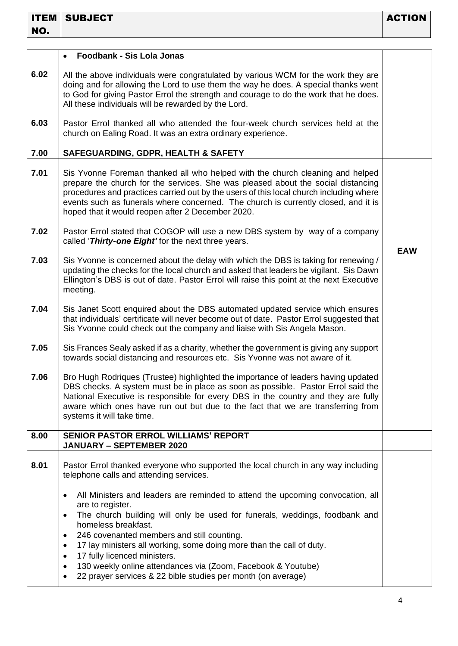|      | <b>Foodbank - Sis Lola Jonas</b><br>$\bullet$                                                                                                                                                                                                                                                                                                                                                                                                                                                                                                       |            |
|------|-----------------------------------------------------------------------------------------------------------------------------------------------------------------------------------------------------------------------------------------------------------------------------------------------------------------------------------------------------------------------------------------------------------------------------------------------------------------------------------------------------------------------------------------------------|------------|
| 6.02 | All the above individuals were congratulated by various WCM for the work they are<br>doing and for allowing the Lord to use them the way he does. A special thanks went<br>to God for giving Pastor Errol the strength and courage to do the work that he does.<br>All these individuals will be rewarded by the Lord.                                                                                                                                                                                                                              |            |
| 6.03 | Pastor Errol thanked all who attended the four-week church services held at the<br>church on Ealing Road. It was an extra ordinary experience.                                                                                                                                                                                                                                                                                                                                                                                                      |            |
| 7.00 | SAFEGUARDING, GDPR, HEALTH & SAFETY                                                                                                                                                                                                                                                                                                                                                                                                                                                                                                                 |            |
| 7.01 | Sis Yvonne Foreman thanked all who helped with the church cleaning and helped<br>prepare the church for the services. She was pleased about the social distancing<br>procedures and practices carried out by the users of this local church including where<br>events such as funerals where concerned. The church is currently closed, and it is<br>hoped that it would reopen after 2 December 2020.                                                                                                                                              |            |
| 7.02 | Pastor Errol stated that COGOP will use a new DBS system by way of a company<br>called 'Thirty-one Eight' for the next three years.                                                                                                                                                                                                                                                                                                                                                                                                                 | <b>EAW</b> |
| 7.03 | Sis Yvonne is concerned about the delay with which the DBS is taking for renewing /<br>updating the checks for the local church and asked that leaders be vigilant. Sis Dawn<br>Ellington's DBS is out of date. Pastor Errol will raise this point at the next Executive<br>meeting.                                                                                                                                                                                                                                                                |            |
| 7.04 | Sis Janet Scott enquired about the DBS automated updated service which ensures<br>that individuals' certificate will never become out of date. Pastor Errol suggested that<br>Sis Yvonne could check out the company and liaise with Sis Angela Mason.                                                                                                                                                                                                                                                                                              |            |
| 7.05 | Sis Frances Sealy asked if as a charity, whether the government is giving any support<br>towards social distancing and resources etc. Sis Yvonne was not aware of it.                                                                                                                                                                                                                                                                                                                                                                               |            |
| 7.06 | Bro Hugh Rodriques (Trustee) highlighted the importance of leaders having updated<br>DBS checks. A system must be in place as soon as possible. Pastor Errol said the<br>National Executive is responsible for every DBS in the country and they are fully<br>aware which ones have run out but due to the fact that we are transferring from<br>systems it will take time.                                                                                                                                                                         |            |
| 8.00 | <b>SENIOR PASTOR ERROL WILLIAMS' REPORT</b><br><b>JANUARY - SEPTEMBER 2020</b>                                                                                                                                                                                                                                                                                                                                                                                                                                                                      |            |
| 8.01 | Pastor Errol thanked everyone who supported the local church in any way including<br>telephone calls and attending services.                                                                                                                                                                                                                                                                                                                                                                                                                        |            |
|      | All Ministers and leaders are reminded to attend the upcoming convocation, all<br>٠<br>are to register.<br>The church building will only be used for funerals, weddings, foodbank and<br>$\bullet$<br>homeless breakfast.<br>246 covenanted members and still counting.<br>17 lay ministers all working, some doing more than the call of duty.<br>$\bullet$<br>17 fully licenced ministers.<br>٠<br>130 weekly online attendances via (Zoom, Facebook & Youtube)<br>٠<br>22 prayer services & 22 bible studies per month (on average)<br>$\bullet$ |            |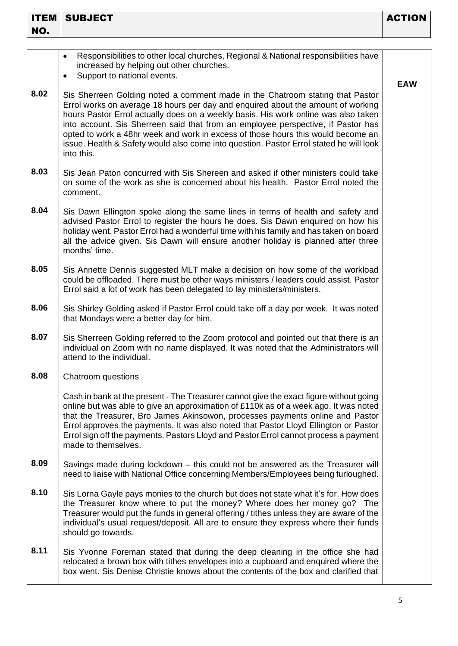| <b>ITEM</b> | <b>SUBJECT</b>                                                                                                                                                                                                                                                                                                                                                                                                                                                                                                                          | <b>ACTION</b> |
|-------------|-----------------------------------------------------------------------------------------------------------------------------------------------------------------------------------------------------------------------------------------------------------------------------------------------------------------------------------------------------------------------------------------------------------------------------------------------------------------------------------------------------------------------------------------|---------------|
| NO.         |                                                                                                                                                                                                                                                                                                                                                                                                                                                                                                                                         |               |
|             | Responsibilities to other local churches, Regional & National responsibilities have<br>٠<br>increased by helping out other churches.<br>Support to national events.<br>$\bullet$                                                                                                                                                                                                                                                                                                                                                        | <b>EAW</b>    |
| 8.02        | Sis Sherreen Golding noted a comment made in the Chatroom stating that Pastor<br>Errol works on average 18 hours per day and enquired about the amount of working<br>hours Pastor Errol actually does on a weekly basis. His work online was also taken<br>into account. Sis Sherreen said that from an employee perspective, if Pastor has<br>opted to work a 48hr week and work in excess of those hours this would become an<br>issue. Health & Safety would also come into question. Pastor Errol stated he will look<br>into this. |               |
| 8.03        | Sis Jean Paton concurred with Sis Shereen and asked if other ministers could take<br>on some of the work as she is concerned about his health. Pastor Errol noted the<br>comment.                                                                                                                                                                                                                                                                                                                                                       |               |
| 8.04        | Sis Dawn Ellington spoke along the same lines in terms of health and safety and<br>advised Pastor Errol to register the hours he does. Sis Dawn enquired on how his<br>holiday went. Pastor Errol had a wonderful time with his family and has taken on board<br>all the advice given. Sis Dawn will ensure another holiday is planned after three<br>months' time.                                                                                                                                                                     |               |
| 8.05        | Sis Annette Dennis suggested MLT make a decision on how some of the workload<br>could be offloaded. There must be other ways ministers / leaders could assist. Pastor<br>Errol said a lot of work has been delegated to lay ministers/ministers.                                                                                                                                                                                                                                                                                        |               |
| 8.06        | Sis Shirley Golding asked if Pastor Errol could take off a day per week. It was noted<br>that Mondays were a better day for him.                                                                                                                                                                                                                                                                                                                                                                                                        |               |
| 8.07        | Sis Sherreen Golding referred to the Zoom protocol and pointed out that there is an<br>individual on Zoom with no name displayed. It was noted that the Administrators will<br>attend to the individual.                                                                                                                                                                                                                                                                                                                                |               |
| 8.08        | <b>Chatroom</b> questions                                                                                                                                                                                                                                                                                                                                                                                                                                                                                                               |               |
|             | Cash in bank at the present - The Treasurer cannot give the exact figure without going<br>online but was able to give an approximation of £110k as of a week ago. It was noted<br>that the Treasurer, Bro James Akinsowon, processes payments online and Pastor<br>Errol approves the payments. It was also noted that Pastor Lloyd Ellington or Pastor<br>Errol sign off the payments. Pastors Lloyd and Pastor Errol cannot process a payment<br>made to themselves.                                                                  |               |
| 8.09        | Savings made during lockdown – this could not be answered as the Treasurer will<br>need to liaise with National Office concerning Members/Employees being furloughed.                                                                                                                                                                                                                                                                                                                                                                   |               |
| 8.10        | Sis Lorna Gayle pays monies to the church but does not state what it's for. How does<br>the Treasurer know where to put the money? Where does her money go?<br>The<br>Treasurer would put the funds in general offering / tithes unless they are aware of the<br>individual's usual request/deposit. All are to ensure they express where their funds<br>should go towards.                                                                                                                                                             |               |
| 8.11        | Sis Yvonne Foreman stated that during the deep cleaning in the office she had<br>relocated a brown box with tithes envelopes into a cupboard and enquired where the<br>box went. Sis Denise Christie knows about the contents of the box and clarified that                                                                                                                                                                                                                                                                             |               |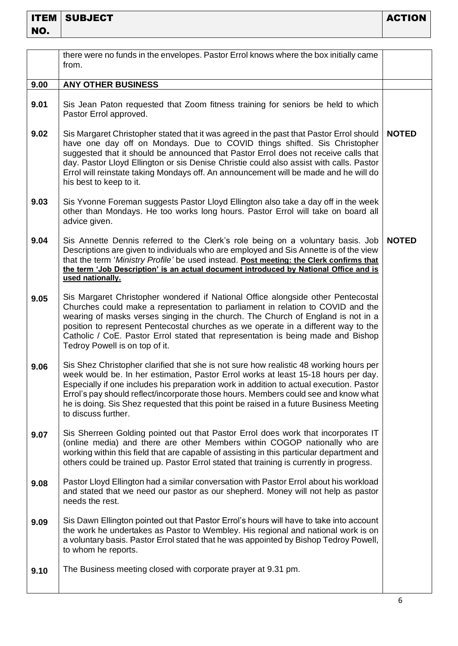|      | there were no funds in the envelopes. Pastor Errol knows where the box initially came<br>from.                                                                                                                                                                                                                                                                                                                                                                                  |              |
|------|---------------------------------------------------------------------------------------------------------------------------------------------------------------------------------------------------------------------------------------------------------------------------------------------------------------------------------------------------------------------------------------------------------------------------------------------------------------------------------|--------------|
| 9.00 | <b>ANY OTHER BUSINESS</b>                                                                                                                                                                                                                                                                                                                                                                                                                                                       |              |
| 9.01 | Sis Jean Paton requested that Zoom fitness training for seniors be held to which<br>Pastor Errol approved.                                                                                                                                                                                                                                                                                                                                                                      |              |
| 9.02 | Sis Margaret Christopher stated that it was agreed in the past that Pastor Errol should<br>have one day off on Mondays. Due to COVID things shifted. Sis Christopher<br>suggested that it should be announced that Pastor Errol does not receive calls that<br>day. Pastor Lloyd Ellington or sis Denise Christie could also assist with calls. Pastor<br>Errol will reinstate taking Mondays off. An announcement will be made and he will do<br>his best to keep to it.       | <b>NOTED</b> |
| 9.03 | Sis Yvonne Foreman suggests Pastor Lloyd Ellington also take a day off in the week<br>other than Mondays. He too works long hours. Pastor Errol will take on board all<br>advice given.                                                                                                                                                                                                                                                                                         |              |
| 9.04 | Sis Annette Dennis referred to the Clerk's role being on a voluntary basis. Job<br>Descriptions are given to individuals who are employed and Sis Annette is of the view<br>that the term 'Ministry Profile' be used instead. Post meeting: the Clerk confirms that<br>the term 'Job Description' is an actual document introduced by National Office and is<br>used nationally.                                                                                                | <b>NOTED</b> |
| 9.05 | Sis Margaret Christopher wondered if National Office alongside other Pentecostal<br>Churches could make a representation to parliament in relation to COVID and the<br>wearing of masks verses singing in the church. The Church of England is not in a<br>position to represent Pentecostal churches as we operate in a different way to the<br>Catholic / CoE. Pastor Errol stated that representation is being made and Bishop<br>Tedroy Powell is on top of it.             |              |
| 9.06 | Sis Shez Christopher clarified that she is not sure how realistic 48 working hours per<br>week would be. In her estimation, Pastor Errol works at least 15-18 hours per day.<br>Especially if one includes his preparation work in addition to actual execution. Pastor<br>Errol's pay should reflect/incorporate those hours. Members could see and know what<br>he is doing. Sis Shez requested that this point be raised in a future Business Meeting<br>to discuss further. |              |
| 9.07 | Sis Sherreen Golding pointed out that Pastor Errol does work that incorporates IT<br>(online media) and there are other Members within COGOP nationally who are<br>working within this field that are capable of assisting in this particular department and<br>others could be trained up. Pastor Errol stated that training is currently in progress.                                                                                                                         |              |
| 9.08 | Pastor Lloyd Ellington had a similar conversation with Pastor Errol about his workload<br>and stated that we need our pastor as our shepherd. Money will not help as pastor<br>needs the rest.                                                                                                                                                                                                                                                                                  |              |
| 9.09 | Sis Dawn Ellington pointed out that Pastor Errol's hours will have to take into account<br>the work he undertakes as Pastor to Wembley. His regional and national work is on<br>a voluntary basis. Pastor Errol stated that he was appointed by Bishop Tedroy Powell,<br>to whom he reports.                                                                                                                                                                                    |              |
| 9.10 | The Business meeting closed with corporate prayer at 9.31 pm.                                                                                                                                                                                                                                                                                                                                                                                                                   |              |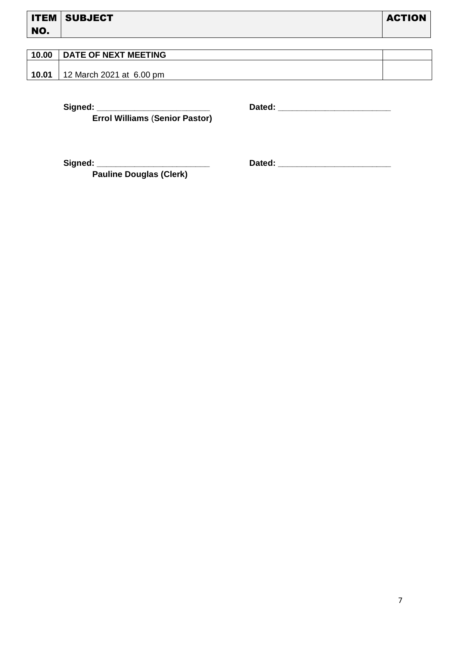| 10.00 | <b>DATE OF NEXT MEETING</b> |  |
|-------|-----------------------------|--|
|       |                             |  |
| 10.01 | 12 March 2021 at 6.00 pm    |  |

**Errol Williams** (**Senior Pastor)**

 **Signed: \_\_\_\_\_\_\_\_\_\_\_\_\_\_\_\_\_\_\_\_\_\_\_\_ Dated: \_\_\_\_\_\_\_\_\_\_\_\_\_\_\_\_\_\_\_\_\_\_\_\_**

 **Signed: \_\_\_\_\_\_\_\_\_\_\_\_\_\_\_\_\_\_\_\_\_\_\_\_ Dated: \_\_\_\_\_\_\_\_\_\_\_\_\_\_\_\_\_\_\_\_\_\_\_\_**

**Pauline Douglas (Clerk)**